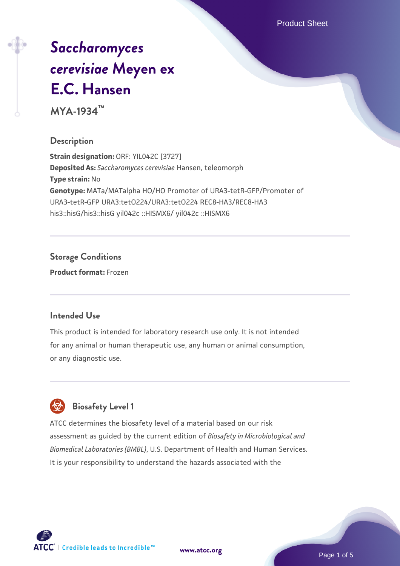Product Sheet

# *[Saccharomyces](https://www.atcc.org/products/mya-1934) [cerevisiae](https://www.atcc.org/products/mya-1934)* **[Meyen ex](https://www.atcc.org/products/mya-1934) [E.C. Hansen](https://www.atcc.org/products/mya-1934)**

**MYA-1934™**

## **Description**

**Strain designation:** ORF: YIL042C [3727] **Deposited As:** *Saccharomyces cerevisiae* Hansen, teleomorph **Type strain:** No **Genotype:** MATa/MATalpha HO/HO Promoter of URA3-tetR-GFP/Promoter of URA3-tetR-GFP URA3:tetO224/URA3:tetO224 REC8-HA3/REC8-HA3 his3::hisG/his3::hisG yil042c ::HISMX6/ yil042c ::HISMX6

## **Storage Conditions**

**Product format:** Frozen

#### **Intended Use**

This product is intended for laboratory research use only. It is not intended for any animal or human therapeutic use, any human or animal consumption, or any diagnostic use.



## **Biosafety Level 1**

ATCC determines the biosafety level of a material based on our risk assessment as guided by the current edition of *Biosafety in Microbiological and Biomedical Laboratories (BMBL)*, U.S. Department of Health and Human Services. It is your responsibility to understand the hazards associated with the

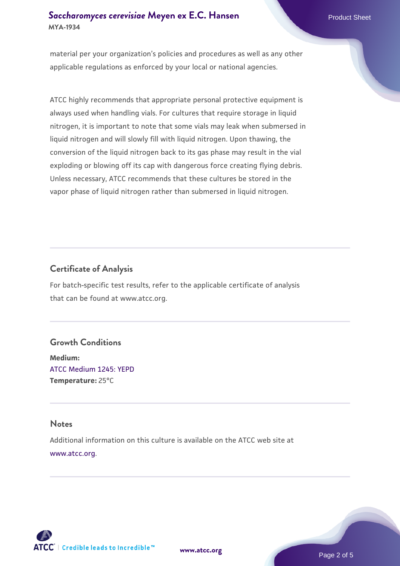material per your organization's policies and procedures as well as any other applicable regulations as enforced by your local or national agencies.

ATCC highly recommends that appropriate personal protective equipment is always used when handling vials. For cultures that require storage in liquid nitrogen, it is important to note that some vials may leak when submersed in liquid nitrogen and will slowly fill with liquid nitrogen. Upon thawing, the conversion of the liquid nitrogen back to its gas phase may result in the vial exploding or blowing off its cap with dangerous force creating flying debris. Unless necessary, ATCC recommends that these cultures be stored in the vapor phase of liquid nitrogen rather than submersed in liquid nitrogen.

## **Certificate of Analysis**

For batch-specific test results, refer to the applicable certificate of analysis that can be found at www.atcc.org.

#### **Growth Conditions**

**Medium:**  [ATCC Medium 1245: YEPD](https://www.atcc.org/-/media/product-assets/documents/microbial-media-formulations/1/2/4/5/atcc-medium-1245.pdf?rev=705ca55d1b6f490a808a965d5c072196) **Temperature:** 25°C

#### **Notes**

Additional information on this culture is available on the ATCC web site at [www.atcc.org.](http://www.atcc.org/)



**[www.atcc.org](http://www.atcc.org)**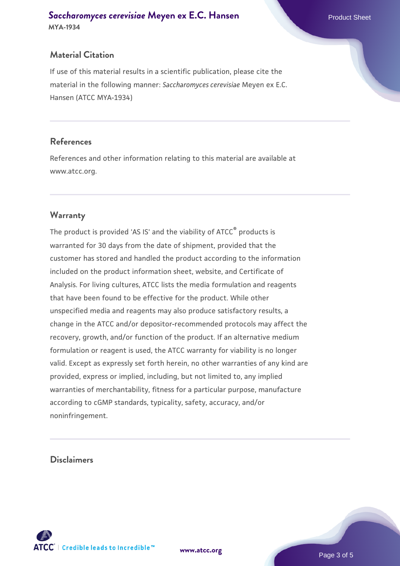## **Material Citation**

If use of this material results in a scientific publication, please cite the material in the following manner: *Saccharomyces cerevisiae* Meyen ex E.C. Hansen (ATCC MYA-1934)

#### **References**

References and other information relating to this material are available at www.atcc.org.

## **Warranty**

The product is provided 'AS IS' and the viability of ATCC® products is warranted for 30 days from the date of shipment, provided that the customer has stored and handled the product according to the information included on the product information sheet, website, and Certificate of Analysis. For living cultures, ATCC lists the media formulation and reagents that have been found to be effective for the product. While other unspecified media and reagents may also produce satisfactory results, a change in the ATCC and/or depositor-recommended protocols may affect the recovery, growth, and/or function of the product. If an alternative medium formulation or reagent is used, the ATCC warranty for viability is no longer valid. Except as expressly set forth herein, no other warranties of any kind are provided, express or implied, including, but not limited to, any implied warranties of merchantability, fitness for a particular purpose, manufacture according to cGMP standards, typicality, safety, accuracy, and/or noninfringement.

#### **Disclaimers**



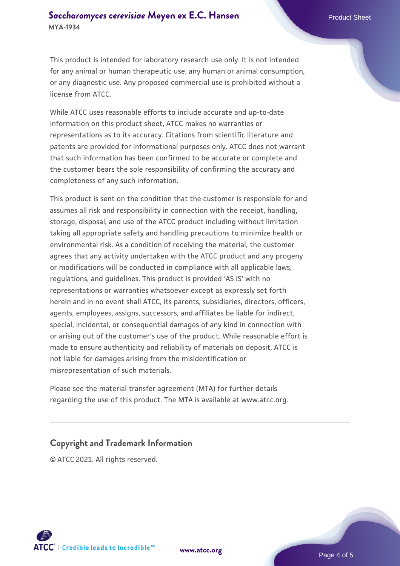This product is intended for laboratory research use only. It is not intended for any animal or human therapeutic use, any human or animal consumption, or any diagnostic use. Any proposed commercial use is prohibited without a license from ATCC.

While ATCC uses reasonable efforts to include accurate and up-to-date information on this product sheet, ATCC makes no warranties or representations as to its accuracy. Citations from scientific literature and patents are provided for informational purposes only. ATCC does not warrant that such information has been confirmed to be accurate or complete and the customer bears the sole responsibility of confirming the accuracy and completeness of any such information.

This product is sent on the condition that the customer is responsible for and assumes all risk and responsibility in connection with the receipt, handling, storage, disposal, and use of the ATCC product including without limitation taking all appropriate safety and handling precautions to minimize health or environmental risk. As a condition of receiving the material, the customer agrees that any activity undertaken with the ATCC product and any progeny or modifications will be conducted in compliance with all applicable laws, regulations, and guidelines. This product is provided 'AS IS' with no representations or warranties whatsoever except as expressly set forth herein and in no event shall ATCC, its parents, subsidiaries, directors, officers, agents, employees, assigns, successors, and affiliates be liable for indirect, special, incidental, or consequential damages of any kind in connection with or arising out of the customer's use of the product. While reasonable effort is made to ensure authenticity and reliability of materials on deposit, ATCC is not liable for damages arising from the misidentification or misrepresentation of such materials.

Please see the material transfer agreement (MTA) for further details regarding the use of this product. The MTA is available at www.atcc.org.

## **Copyright and Trademark Information**

© ATCC 2021. All rights reserved.